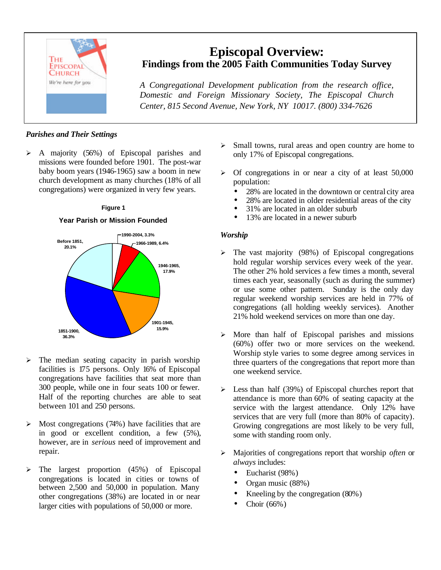

# **Episcopal Overview: Findings from the 2005 Faith Communities Today Survey**

*A Congregational Development publication from the research office, Domestic and Foreign Missionary Society, The Episcopal Church Center, 815 Second Avenue, New York, NY 10017. (800) 334-7626*

# *Parishes and Their Settings*

 $\triangleright$  A majority (56%) of Episcopal parishes and missions were founded before 1901. The post-war baby boom years (1946-1965) saw a boom in new church development as many churches (18% of all congregations) were organized in very few years.

## **Figure 1**

## **Year Parish or Mission Founded**



- $\triangleright$  The median seating capacity in parish worship facilities is 175 persons. Only 16% of Episcopal congregations have facilities that seat more than 300 people, while one in four seats 100 or fewer. Half of the reporting churches are able to seat between 101 and 250 persons.
- $\triangleright$  Most congregations (74%) have facilities that are in good or excellent condition, a few (5%), however, are in *serious* need of improvement and repair.
- $\triangleright$  The largest proportion (45%) of Episcopal congregations is located in cities or towns of between 2,500 and 50,000 in population. Many other congregations (38%) are located in or near larger cities with populations of 50,000 or more.
- $\triangleright$  Small towns, rural areas and open country are home to only 17% of Episcopal congregations.
- $\triangleright$  Of congregations in or near a city of at least 50,000 population:
	- 28% are located in the downtown or central city area
	- 28% are located in older residential areas of the city
	- 31% are located in an older suburb
	- 13% are located in a newer suburb

## *Worship*

- $\triangleright$  The vast majority (98%) of Episcopal congregations hold regular worship services every week of the year. The other 2% hold services a few times a month, several times each year, seasonally (such as during the summer) or use some other pattern. Sunday is the only day regular weekend worship services are held in 77% of congregations (all holding weekly services). Another 21% hold weekend services on more than one day.
- $\triangleright$  More than half of Episcopal parishes and missions (60%) offer two or more services on the weekend. Worship style varies to some degree among services in three quarters of the congregations that report more than one weekend service.
- $\triangleright$  Less than half (39%) of Episcopal churches report that attendance is more than 60% of seating capacity at the service with the largest attendance. Only 12% have services that are very full (more than 80% of capacity). Growing congregations are most likely to be very full, some with standing room only.
- ÿ Majorities of congregations report that worship *often* or *always* includes:
	- Eucharist (98%)
	- Organ music (88%)
	- Kneeling by the congregation (80%)
	- Choir (66%)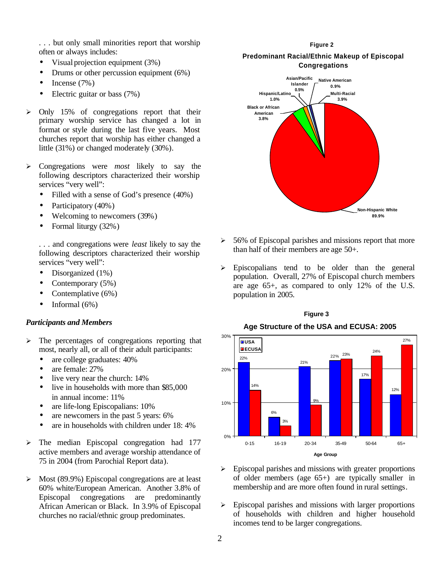. . . but only small minorities report that worship often or always includes:

- Visual projection equipment (3%)
- Drums or other percussion equipment (6%)
- Incense  $(7%)$
- Electric guitar or bass (7%)
- $\geq$  Only 15% of congregations report that their primary worship service has changed a lot in format or style during the last five years. Most churches report that worship has either changed a little (31%) or changed moderately (30%).
- ÿ Congregations were *most* likely to say the following descriptors characterized their worship services "very well":
	- Filled with a sense of God's presence (40%)
	- Participatory (40%)
	- Welcoming to newcomers (39%)
	- Formal liturgy (32%)

. . . and congregations were *least* likely to say the following descriptors characterized their worship services "very well":

- Disorganized (1%)
- Contemporary (5%)
- Contemplative (6%)
- Informal  $(6\%)$

### *Participants and Members*

- $\triangleright$  The percentages of congregations reporting that most, nearly all, or all of their adult participants:
	- are college graduates:  $40\%$
	- are female: 27%
	- live very near the church:  $14\%$
	- live in households with more than \$85,000 in annual income: 11%
	- are life-long Episcopalians: 10%
	- are new comers in the past 5 years: 6%
	- are in households with children under 18:4%
- $\triangleright$  The median Episcopal congregation had 177 active members and average worship attendance of 75 in 2004 (from Parochial Report data).
- $\triangleright$  Most (89.9%) Episcopal congregations are at least 60% white/European American. Another 3.8% of Episcopal congregations are predominantly African American or Black. In 3.9% of Episcopal churches no racial/ethnic group predominates.

#### **Figure 2**

## **Predominant Racial/Ethnic Makeup of Episcopal Congregations**



- $\geq 56\%$  of Episcopal parishes and missions report that more than half of their members are age 50+.
- $\triangleright$  Episcopalians tend to be older than the general population. Overall, 27% of Episcopal church members are age 65+, as compared to only 12% of the U.S. population in 2005.



# **Figure 3**

- $\triangleright$  Episcopal parishes and missions with greater proportions of older members (age 65+) are typically smaller in membership and are more often found in rural settings.
- $\triangleright$  Episcopal parishes and missions with larger proportions of households with children and higher household incomes tend to be larger congregations.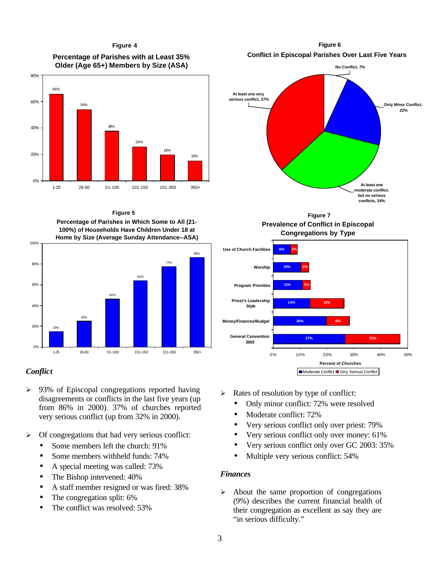**Percentage of Parishes with at Least 35% Older (Age 65+) Members by Size (ASA) Figure 4**



**Percentage of Parishes in Which Some to All (21- 100%) of Households Have Children Under 18 at Home by Size (Average Sunday Attendance--ASA) Figure 5**



## *Conflict*

- $\geq$  93% of Episcopal congregations reported having disagreements or conflicts in the last five years (up from 86% in 2000). 37% of churches reported very serious conflict (up from 32% in 2000).
- $\triangleright$  Of congregations that had very serious conflict:
	- Some members left the church: 91%
	- Some members withheld funds: 74%
	- A special meeting was called: 73%
	- The Bishop intervened:  $40\%$
	- A staff member resigned or was fired: 38%
	- The congregation split: 6%
	- The conflict was resolved: 53%

**Conflict in Episcopal Parishes Over Last Five Years Figure 6**



**Prevalence of Conflict in Episcopal Congregations by Type Figure 7**



- $\triangleright$  Rates of resolution by type of conflict:
	- Only minor conflict: 72% were resolved
	- Moderate conflict: 72%
	- Very serious conflict only over priest: 79%
	- Very serious conflict only over money: 61%
	- Very serious conflict only over GC 2003: 35%
	- Multiple very serious conflict: 54%

## *Finances*

 $\triangleright$  About the same proportion of congregations (9%) describes the current financial health of their congregation as excellent as say they are "in serious difficulty."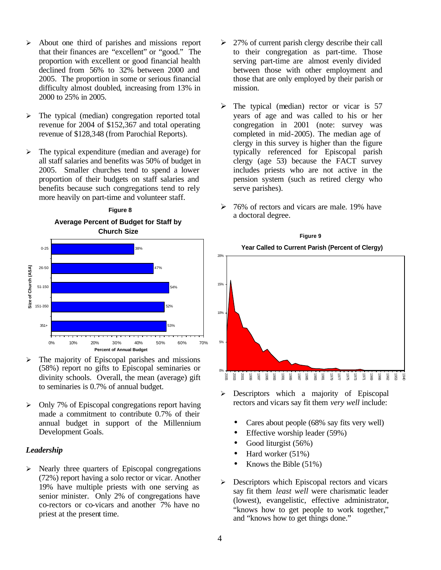- $\triangleright$  About one third of parishes and missions report that their finances are "excellent" or "good." The proportion with excellent or good financial health declined from 56% to 32% between 2000 and 2005. The proportion in some or serious financial difficulty almost doubled, increasing from 13% in 2000 to 25% in 2005.
- $\triangleright$  The typical (median) congregation reported total revenue for 2004 of \$152,367 and total operating revenue of \$128,348 (from Parochial Reports).
- $\triangleright$  The typical expenditure (median and average) for all staff salaries and benefits was 50% of budget in 2005. Smaller churches tend to spend a lower proportion of their budgets on staff salaries and benefits because such congregations tend to rely more heavily on part-time and volunteer staff.

**Figure 8**



- $\triangleright$  The majority of Episcopal parishes and missions (58%) report no gifts to Episcopal seminaries or divinity schools. Overall, the mean (average) gift to seminaries is 0.7% of annual budget.
- $\triangleright$  Only 7% of Episcopal congregations report having made a commitment to contribute 0.7% of their annual budget in support of the Millennium Development Goals.

## *Leadership*

 $\triangleright$  Nearly three quarters of Episcopal congregations (72%) report having a solo rector or vicar. Another 19% have multiple priests with one serving as senior minister. Only 2% of congregations have co-rectors or co-vicars and another 7% have no priest at the present time.

- $\geq$  27% of current parish clergy describe their call to their congregation as part-time. Those serving part-time are almost evenly divided between those with other employment and those that are only employed by their parish or mission.
- $\triangleright$  The typical (median) rector or vicar is 57 years of age and was called to his or her congregation in 2001 (note: survey was completed in mid-2005). The median age of clergy in this survey is higher than the figure typically referenced for Episcopal parish clergy (age 53) because the FACT survey includes priests who are not active in the pension system (such as retired clergy who serve parishes).
- $\geq 76\%$  of rectors and vicars are male. 19% have a doctoral degree.



**Figure 9**

- $\triangleright$  Descriptors which a majority of Episcopal rectors and vicars say fit them *very well* include:
	- Cares about people (68% say fits very well)
	- Effective worship leader (59%)
	- Good liturgist (56%)
	- Hard worker (51%)
	- Knows the Bible  $(51\%)$
- $\triangleright$  Descriptors which Episcopal rectors and vicars say fit them *least well* were charismatic leader (lowest), evangelistic, effective administrator, "knows how to get people to work together," and "knows how to get things done."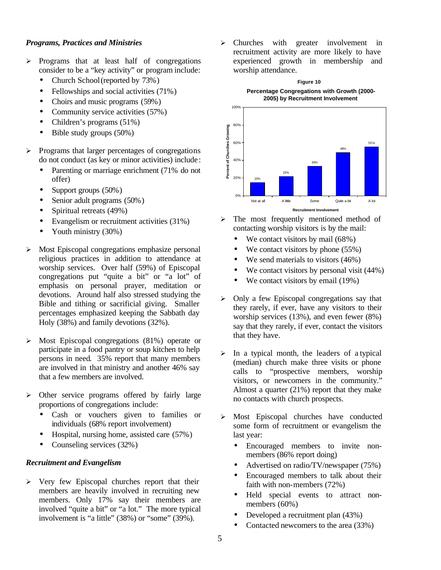## *Programs, Practices and Ministries*

- $\triangleright$  Programs that at least half of congregations consider to be a "key activity" or program include:
	- Church School (reported by 73%)
	- Fellowships and social activities (71%)
	- Choirs and music programs (59%)
	- Community service activities (57%)
	- Children's programs (51%)
	- Bible study groups  $(50\%)$
- $\triangleright$  Programs that larger percentages of congregations do not conduct (as key or minor activities) include :
	- Parenting or marriage enrichment (71% do not offer)
	- Support groups (50%)
	- Senior adult programs (50%)
	- Spiritual retreats (49%)
	- Evangelism or recruitment activities (31%)
	- Youth ministry (30%)
- $\triangleright$  Most Episcopal congregations emphasize personal religious practices in addition to attendance at worship services. Over half (59%) of Episcopal congregations put "quite a bit" or "a lot" of emphasis on personal prayer, meditation or devotions. Around half also stressed studying the Bible and tithing or sacrificial giving. Smaller percentages emphasized keeping the Sabbath day Holy (38%) and family devotions (32%).
- $\triangleright$  Most Episcopal congregations (81%) operate or participate in a food pantry or soup kitchen to help persons in need. 35% report that many members are involved in that ministry and another 46% say that a few members are involved.
- $\triangleright$  Other service programs offered by fairly large proportions of congregations include:
	- Cash or vouchers given to families or individuals (68% report involvement)
	- Hospital, nursing home, assisted care (57%)
	- Counseling services (32%)

## *Recruitment and Evangelism*

 $\triangleright$  Very few Episcopal churches report that their members are heavily involved in recruiting new members. Only 17% say their members are involved "quite a bit" or "a lot." The more typical involvement is "a little" (38%) or "some" (39%).

ÿ Churches with greater involvement in recruitment activity are more likely to have experienced growth in membership and worship attendance.



- $\triangleright$  The most frequently mentioned method of contacting worship visitors is by the mail:
	- We contact visitors by mail (68%)
	- We contact visitors by phone (55%)
	- We send materials to visitors (46%)
	- We contact visitors by personal visit (44%)
	- We contact visitors by email (19%)
- $\triangleright$  Only a few Episcopal congregations say that they rarely, if ever, have any visitors to their worship services (13%), and even fewer (8%) say that they rarely, if ever, contact the visitors that they have.
- $\triangleright$  In a typical month, the leaders of a typical (median) church make three visits or phone calls to "prospective members, worship visitors, or newcomers in the community." Almost a quarter (21%) report that they make no contacts with church prospects.
- ÿ Most Episcopal churches have conducted some form of recruitment or evangelism the last year:
	- Encouraged members to invite nonmembers (86% report doing)
	- Advertised on radio/TV/newspaper (75%)
	- Encouraged members to talk about their faith with non-members (72%)
	- Held special events to attract nonmembers (60%)
	- Developed a recruitment plan (43%)
	- Contacted newcomers to the area (33%)